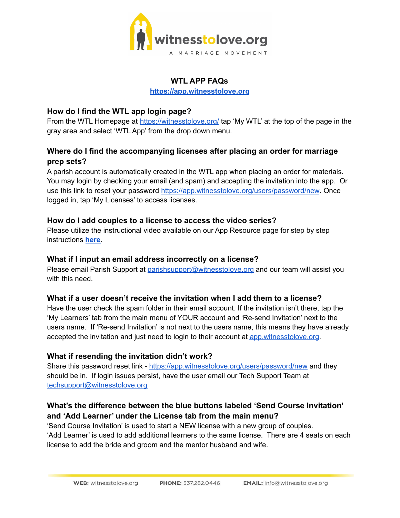

#### **WTL APP FAQs**

**<https://app.witnesstolove.org>**

## **How do I find the WTL app login page?**

From the WTL Homepage at <https://witnesstolove.org/> tap 'My WTL' at the top of the page in the gray area and select 'WTL App' from the drop down menu.

# **Where do I find the accompanying licenses after placing an order for marriage prep sets?**

A parish account is automatically created in the WTL app when placing an order for materials. You may login by checking your email (and spam) and accepting the invitation into the app. Or use this link to reset your password <https://app.witnesstolove.org/users/password/new>. Once logged in, tap 'My Licenses' to access licenses.

## **How do I add couples to a license to access the video series?**

Please utilize the instructional video available on our App Resource page for step by step instructions **[here](https://witnesstolove.org/marriage-prep-coordinators/online-course-app-faq/)**.

#### **What if I input an email address incorrectly on a license?**

Please email Parish Support at [parishsupport@witnesstolove.org](mailto:parishsupport@witnesstolove.org) and our team will assist you with this need

## **What if a user doesn't receive the invitation when I add them to a license?**

Have the user check the spam folder in their email account. If the invitation isn't there, tap the 'My Learners' tab from the main menu of YOUR account and 'Re-send Invitation' next to the users name. If 'Re-send Invitation' is not next to the users name, this means they have already accepted the invitation and just need to login to their account at [app.witnesstolove.org.](http://app.witnesstolove.org)

## **What if resending the invitation didn't work?**

Share this password reset link - <https://app.witnesstolove.org/users/password/new> and they should be in. If login issues persist, have the user email our Tech Support Team at [techsupport@witnesstolove.org](mailto:techsupport@witnesstolove.org)

# **What's the difference between the blue buttons labeled 'Send Course Invitation' and 'Add Learner' under the License tab from the main menu?**

'Send Course Invitation' is used to start a NEW license with a new group of couples. 'Add Learner' is used to add additional learners to the same license. There are 4 seats on each license to add the bride and groom and the mentor husband and wife.